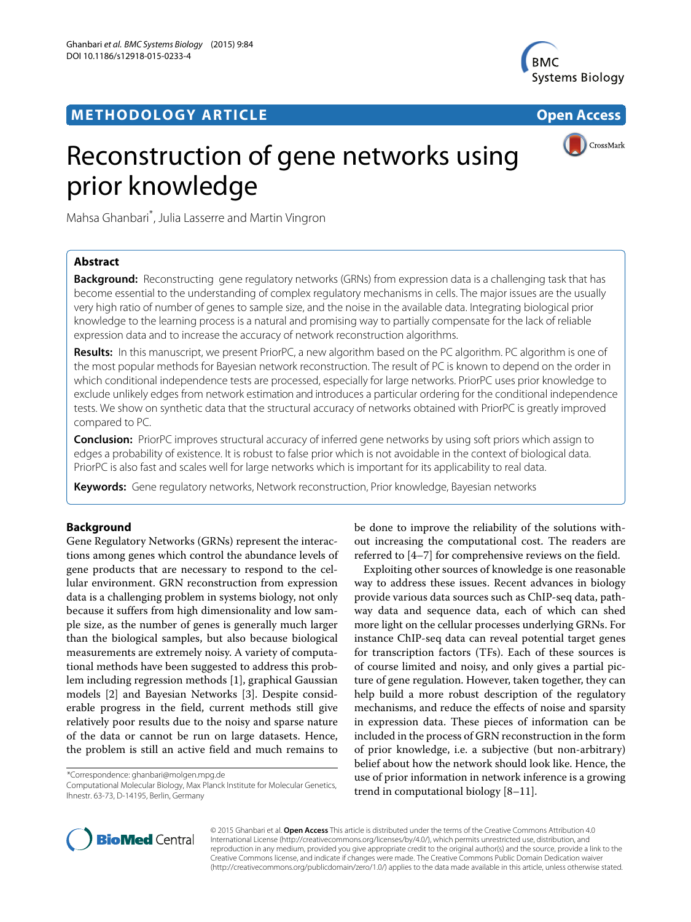





# Reconstruction of gene networks using prior knowledge

Mahsa Ghanbari\* , Julia Lasserre and Martin Vingron

# **Abstract**

**Background:** Reconstructing gene regulatory networks (GRNs) from expression data is a challenging task that has become essential to the understanding of complex regulatory mechanisms in cells. The major issues are the usually very high ratio of number of genes to sample size, and the noise in the available data. Integrating biological prior knowledge to the learning process is a natural and promising way to partially compensate for the lack of reliable expression data and to increase the accuracy of network reconstruction algorithms.

**Results:** In this manuscript, we present PriorPC, a new algorithm based on the PC algorithm. PC algorithm is one of the most popular methods for Bayesian network reconstruction. The result of PC is known to depend on the order in which conditional independence tests are processed, especially for large networks. PriorPC uses prior knowledge to exclude unlikely edges from network estimation and introduces a particular ordering for the conditional independence tests. We show on synthetic data that the structural accuracy of networks obtained with PriorPC is greatly improved compared to PC.

**Conclusion:** PriorPC improves structural accuracy of inferred gene networks by using soft priors which assign to edges a probability of existence. It is robust to false prior which is not avoidable in the context of biological data. PriorPC is also fast and scales well for large networks which is important for its applicability to real data.

**Keywords:** Gene regulatory networks, Network reconstruction, Prior knowledge, Bayesian networks

# **Background**

Gene Regulatory Networks (GRNs) represent the interactions among genes which control the abundance levels of gene products that are necessary to respond to the cellular environment. GRN reconstruction from expression data is a challenging problem in systems biology, not only because it suffers from high dimensionality and low sample size, as the number of genes is generally much larger than the biological samples, but also because biological measurements are extremely noisy. A variety of computational methods have been suggested to address this problem including regression methods [\[1\]](#page-9-0), graphical Gaussian models [\[2\]](#page-9-1) and Bayesian Networks [\[3\]](#page-9-2). Despite considerable progress in the field, current methods still give relatively poor results due to the noisy and sparse nature of the data or cannot be run on large datasets. Hence, the problem is still an active field and much remains to

Computational Molecular Biology, Max Planck Institute for Molecular Genetics, Ihnestr. 63-73, D-14195, Berlin, Germany

be done to improve the reliability of the solutions without increasing the computational cost. The readers are referred to [\[4–](#page-9-3)[7\]](#page-9-4) for comprehensive reviews on the field.

Exploiting other sources of knowledge is one reasonable way to address these issues. Recent advances in biology provide various data sources such as ChIP-seq data, pathway data and sequence data, each of which can shed more light on the cellular processes underlying GRNs. For instance ChIP-seq data can reveal potential target genes for transcription factors (TFs). Each of these sources is of course limited and noisy, and only gives a partial picture of gene regulation. However, taken together, they can help build a more robust description of the regulatory mechanisms, and reduce the effects of noise and sparsity in expression data. These pieces of information can be included in the process of GRN reconstruction in the form of prior knowledge, i.e. a subjective (but non-arbitrary) belief about how the network should look like. Hence, the use of prior information in network inference is a growing trend in computational biology [\[8–](#page-10-0)[11\]](#page-10-1).



© 2015 Ghanbari et al. **Open Access** This article is distributed under the terms of the Creative Commons Attribution 4.0 International License [\(http://creativecommons.org/licenses/by/4.0/\)](http://creativecommons.org/licenses/by/4.0/), which permits unrestricted use, distribution, and reproduction in any medium, provided you give appropriate credit to the original author(s) and the source, provide a link to the Creative Commons license, and indicate if changes were made. The Creative Commons Public Domain Dedication waiver [\(http://creativecommons.org/publicdomain/zero/1.0/\)](http://creativecommons.org/publicdomain/zero/1.0/) applies to the data made available in this article, unless otherwise stated.

<sup>\*</sup>Correspondence: [ghanbari@molgen.mpg.de](mailto: ghanbari@molgen.mpg.de)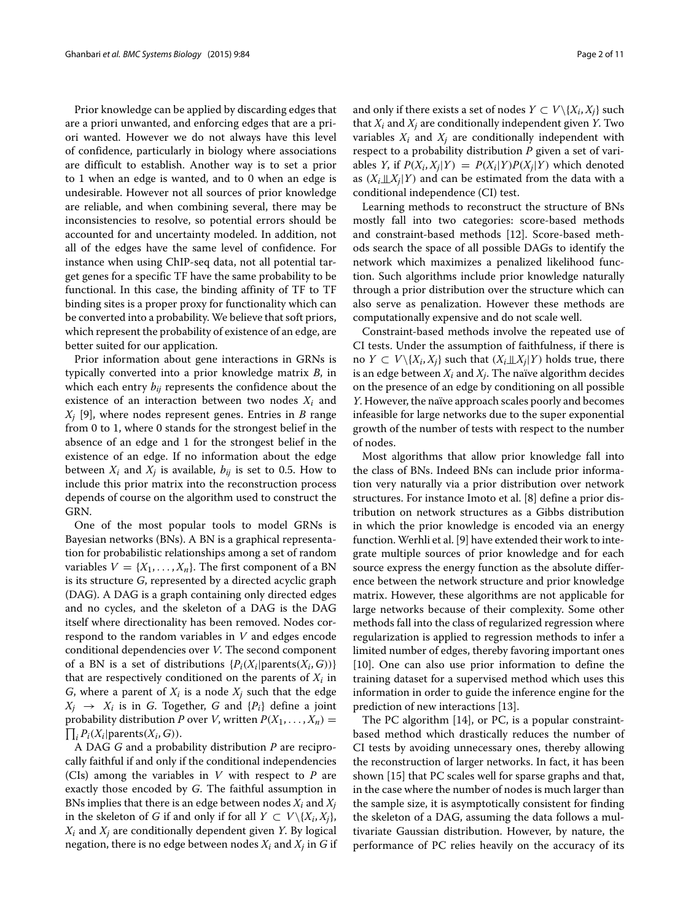Prior knowledge can be applied by discarding edges that are a priori unwanted, and enforcing edges that are a priori wanted. However we do not always have this level of confidence, particularly in biology where associations are difficult to establish. Another way is to set a prior to 1 when an edge is wanted, and to 0 when an edge is undesirable. However not all sources of prior knowledge are reliable, and when combining several, there may be inconsistencies to resolve, so potential errors should be accounted for and uncertainty modeled. In addition, not all of the edges have the same level of confidence. For instance when using ChIP-seq data, not all potential target genes for a specific TF have the same probability to be functional. In this case, the binding affinity of TF to TF binding sites is a proper proxy for functionality which can be converted into a probability. We believe that soft priors, which represent the probability of existence of an edge, are better suited for our application.

Prior information about gene interactions in GRNs is typically converted into a prior knowledge matrix *B*, in which each entry  $b_{ii}$  represents the confidence about the existence of an interaction between two nodes  $X_i$  and *Xj* [\[9\]](#page-10-2), where nodes represent genes. Entries in *B* range from 0 to 1, where 0 stands for the strongest belief in the absence of an edge and 1 for the strongest belief in the existence of an edge. If no information about the edge between  $X_i$  and  $X_j$  is available,  $b_{ij}$  is set to 0.5. How to include this prior matrix into the reconstruction process depends of course on the algorithm used to construct the GRN.

One of the most popular tools to model GRNs is Bayesian networks (BNs). A BN is a graphical representation for probabilistic relationships among a set of random variables  $V = \{X_1, \ldots, X_n\}$ . The first component of a BN is its structure *G*, represented by a directed acyclic graph (DAG). A DAG is a graph containing only directed edges and no cycles, and the skeleton of a DAG is the DAG itself where directionality has been removed. Nodes correspond to the random variables in *V* and edges encode conditional dependencies over *V*. The second component of a BN is a set of distributions  $\{P_i(X_i | \text{parents}(X_i, G))\}$ that are respectively conditioned on the parents of  $X_i$  in *G*, where a parent of  $X_i$  is a node  $X_j$  such that the edge  $X_i \rightarrow X_i$  is in *G*. Together, *G* and  $\{P_i\}$  define a joint probability distribution *P* over *V*, written  $P(X_1, \ldots, X_n)$  =  $\prod_i P_i(X_i | \text{parents}(X_i, G)).$ 

A DAG *G* and a probability distribution *P* are reciprocally faithful if and only if the conditional independencies (CIs) among the variables in *V* with respect to *P* are exactly those encoded by *G*. The faithful assumption in BNs implies that there is an edge between nodes *Xi* and *Xj* in the skeleton of *G* if and only if for all  $Y \subset V\setminus\{X_i, X_j\}$ ,  $X_i$  and  $X_j$  are conditionally dependent given *Y*. By logical negation, there is no edge between nodes  $X_i$  and  $X_j$  in  $G$  if and only if there exists a set of nodes  $Y \subset V\setminus\{X_i, X_j\}$  such that  $X_i$  and  $X_j$  are conditionally independent given *Y*. Two variables  $X_i$  and  $X_j$  are conditionally independent with respect to a probability distribution *P* given a set of variables *Y*, if  $P(X_i, X_i|Y) = P(X_i|Y)P(X_i|Y)$  which denoted as  $(X_i \perp\!\!\!\perp X_j | Y)$  and can be estimated from the data with a conditional independence (CI) test.

Learning methods to reconstruct the structure of BNs mostly fall into two categories: score-based methods and constraint-based methods [\[12\]](#page-10-3). Score-based methods search the space of all possible DAGs to identify the network which maximizes a penalized likelihood function. Such algorithms include prior knowledge naturally through a prior distribution over the structure which can also serve as penalization. However these methods are computationally expensive and do not scale well.

Constraint-based methods involve the repeated use of CI tests. Under the assumption of faithfulness, if there is no  $Y \subset V \setminus \{X_i, X_j\}$  such that  $(X_i \perp\!\!\!\perp X_j | Y)$  holds true, there is an edge between  $X_i$  and  $X_j$ . The naïve algorithm decides on the presence of an edge by conditioning on all possible *Y*. However, the naïve approach scales poorly and becomes infeasible for large networks due to the super exponential growth of the number of tests with respect to the number of nodes.

Most algorithms that allow prior knowledge fall into the class of BNs. Indeed BNs can include prior information very naturally via a prior distribution over network structures. For instance Imoto et al. [\[8\]](#page-10-0) define a prior distribution on network structures as a Gibbs distribution in which the prior knowledge is encoded via an energy function. Werhli et al. [\[9\]](#page-10-2) have extended their work to integrate multiple sources of prior knowledge and for each source express the energy function as the absolute difference between the network structure and prior knowledge matrix. However, these algorithms are not applicable for large networks because of their complexity. Some other methods fall into the class of regularized regression where regularization is applied to regression methods to infer a limited number of edges, thereby favoring important ones [\[10\]](#page-10-4). One can also use prior information to define the training dataset for a supervised method which uses this information in order to guide the inference engine for the prediction of new interactions [\[13\]](#page-10-5).

The PC algorithm [\[14\]](#page-10-6), or PC, is a popular constraintbased method which drastically reduces the number of CI tests by avoiding unnecessary ones, thereby allowing the reconstruction of larger networks. In fact, it has been shown [\[15\]](#page-10-7) that PC scales well for sparse graphs and that, in the case where the number of nodes is much larger than the sample size, it is asymptotically consistent for finding the skeleton of a DAG, assuming the data follows a multivariate Gaussian distribution. However, by nature, the performance of PC relies heavily on the accuracy of its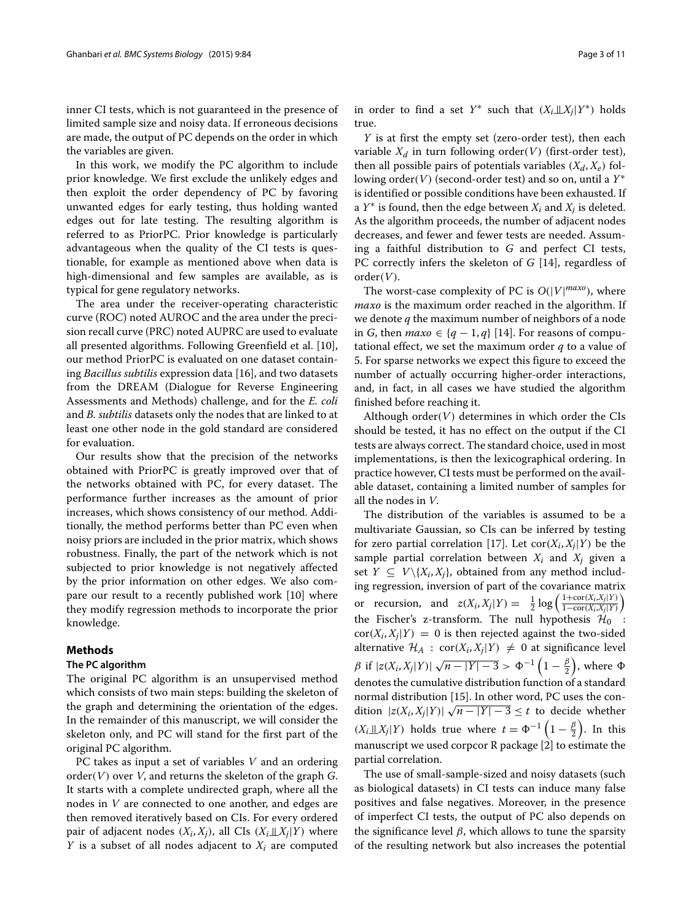inner CI tests, which is not guaranteed in the presence of limited sample size and noisy data. If erroneous decisions are made, the output of PC depends on the order in which the variables are given.

In this work, we modify the PC algorithm to include prior knowledge. We first exclude the unlikely edges and then exploit the order dependency of PC by favoring unwanted edges for early testing, thus holding wanted edges out for late testing. The resulting algorithm is referred to as PriorPC. Prior knowledge is particularly advantageous when the quality of the CI tests is questionable, for example as mentioned above when data is high-dimensional and few samples are available, as is typical for gene regulatory networks.

The area under the receiver-operating characteristic curve (ROC) noted AUROC and the area under the precision recall curve (PRC) noted AUPRC are used to evaluate all presented algorithms. Following Greenfield et al. [\[10\]](#page-10-4), our method PriorPC is evaluated on one dataset containing *Bacillus subtilis* expression data [\[16\]](#page-10-8), and two datasets from the DREAM (Dialogue for Reverse Engineering Assessments and Methods) challenge, and for the *E. coli* and *B. subtilis* datasets only the nodes that are linked to at least one other node in the gold standard are considered for evaluation.

Our results show that the precision of the networks obtained with PriorPC is greatly improved over that of the networks obtained with PC, for every dataset. The performance further increases as the amount of prior increases, which shows consistency of our method. Additionally, the method performs better than PC even when noisy priors are included in the prior matrix, which shows robustness. Finally, the part of the network which is not subjected to prior knowledge is not negatively affected by the prior information on other edges. We also compare our result to a recently published work [\[10\]](#page-10-4) where they modify regression methods to incorporate the prior knowledge.

### **Methods**

# **The PC algorithm**

The original PC algorithm is an unsupervised method which consists of two main steps: building the skeleton of the graph and determining the orientation of the edges. In the remainder of this manuscript, we will consider the skeleton only, and PC will stand for the first part of the original PC algorithm.

PC takes as input a set of variables *V* and an ordering order(*V*) over *V*, and returns the skeleton of the graph *G*. It starts with a complete undirected graph, where all the nodes in *V* are connected to one another, and edges are then removed iteratively based on CIs. For every ordered pair of adjacent nodes  $(X_i, X_j)$ , all CIs  $(X_i \perp\!\!\!\perp X_j | Y)$  where *Y* is a subset of all nodes adjacent to  $X_i$  are computed

in order to find a set  $Y^*$  such that  $(X_i \mathop{\perp\!\!\!\perp} X_j | Y^*)$  holds true.

*Y* is at first the empty set (zero-order test), then each variable  $X_d$  in turn following order( $V$ ) (first-order test), then all possible pairs of potentials variables  $(X_d, X_e)$  following order(*V*) (second-order test) and so on, until a *Y*∗ is identified or possible conditions have been exhausted. If a  $Y^*$  is found, then the edge between  $X_i$  and  $X_j$  is deleted. As the algorithm proceeds, the number of adjacent nodes decreases, and fewer and fewer tests are needed. Assuming a faithful distribution to *G* and perfect CI tests, PC correctly infers the skeleton of *G* [\[14\]](#page-10-6), regardless of order(*V*).

The worst-case complexity of PC is *O*(|*V*| *maxo*), where *maxo* is the maximum order reached in the algorithm. If we denote *q* the maximum number of neighbors of a node in *G*, then *maxo* ∈ { $q$  − 1,  $q$ } [\[14\]](#page-10-6). For reasons of computational effect, we set the maximum order *q* to a value of 5. For sparse networks we expect this figure to exceed the number of actually occurring higher-order interactions, and, in fact, in all cases we have studied the algorithm finished before reaching it.

Although  $order(V)$  determines in which order the CIs should be tested, it has no effect on the output if the CI tests are always correct. The standard choice, used in most implementations, is then the lexicographical ordering. In practice however, CI tests must be performed on the available dataset, containing a limited number of samples for all the nodes in *V*.

The distribution of the variables is assumed to be a multivariate Gaussian, so CIs can be inferred by testing for zero partial correlation [\[17\]](#page-10-9). Let  $\text{cor}(X_i, X_i|Y)$  be the sample partial correlation between  $X_i$  and  $X_j$  given a set  $Y \subseteq V \setminus \{X_i, X_j\}$ , obtained from any method including regression, inversion of part of the covariance matrix or recursion, and  $z(X_i, X_j | Y) = \frac{1}{2} \log \left( \frac{1 + \text{cor}(X_i, X_j | Y)}{1 - \text{cor}(X_i, X_j | Y)} \right)$  $\lambda$ the Fischer's z-transform. The null hypothesis  $\mathcal{H}_0$  :  $\text{cor}(X_i, X_j | Y) = 0$  is then rejected against the two-sided alternative  $\mathcal{H}_A$  :  $\text{cor}(X_i, X_j | Y) \neq 0$  at significance level β if  $|z(X_i, X_j|Y)| \sqrt{n-|Y|-3} > \Phi^{-1}\left(1-\frac{\beta}{2}\right)$ , where  $\Phi$ denotes the cumulative distribution function of a standard normal distribution [\[15\]](#page-10-7). In other word, PC uses the condition  $|z(X_i, X_j|Y)| \sqrt{n-|Y|-3} \le t$  to decide whether  $(X_i \perp \!\!\!\perp X_j | Y)$  holds true where  $t = \Phi^{-1} \left( 1 - \frac{\beta}{2} \right)$ . In this manuscript we used corpcor R package  $[\grave{2}]$  to estimate the partial correlation.

The use of small-sample-sized and noisy datasets (such as biological datasets) in CI tests can induce many false positives and false negatives. Moreover, in the presence of imperfect CI tests, the output of PC also depends on the significance level  $\beta$ , which allows to tune the sparsity of the resulting network but also increases the potential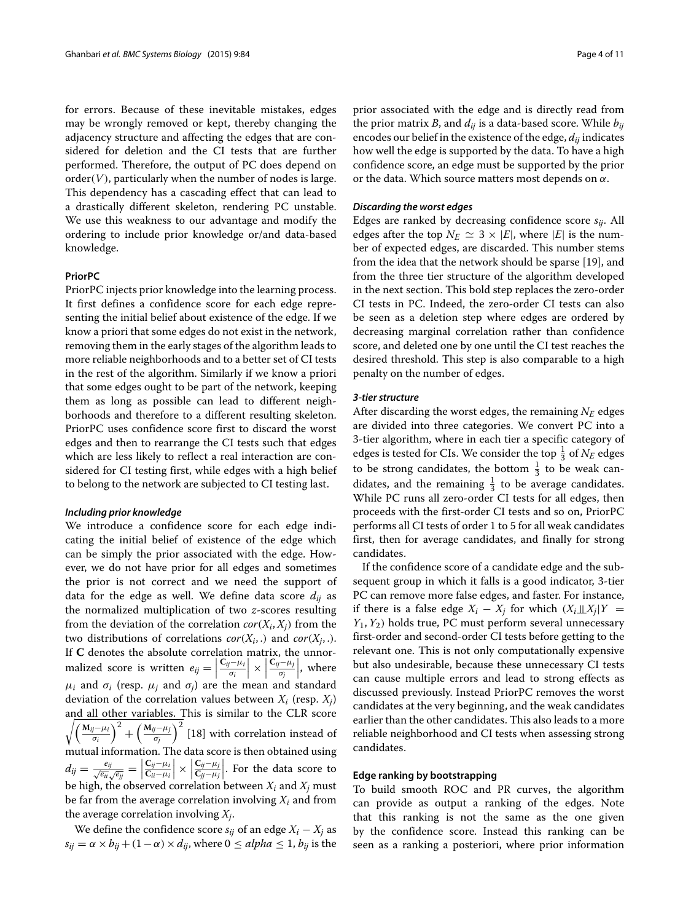for errors. Because of these inevitable mistakes, edges may be wrongly removed or kept, thereby changing the adjacency structure and affecting the edges that are considered for deletion and the CI tests that are further performed. Therefore, the output of PC does depend on  $order(V)$ , particularly when the number of nodes is large. This dependency has a cascading effect that can lead to a drastically different skeleton, rendering PC unstable. We use this weakness to our advantage and modify the ordering to include prior knowledge or/and data-based knowledge.

# **PriorPC**

PriorPC injects prior knowledge into the learning process. It first defines a confidence score for each edge representing the initial belief about existence of the edge. If we know a priori that some edges do not exist in the network, removing them in the early stages of the algorithm leads to more reliable neighborhoods and to a better set of CI tests in the rest of the algorithm. Similarly if we know a priori that some edges ought to be part of the network, keeping them as long as possible can lead to different neighborhoods and therefore to a different resulting skeleton. PriorPC uses confidence score first to discard the worst edges and then to rearrange the CI tests such that edges which are less likely to reflect a real interaction are considered for CI testing first, while edges with a high belief to belong to the network are subjected to CI testing last.

#### *Including prior knowledge*

We introduce a confidence score for each edge indicating the initial belief of existence of the edge which can be simply the prior associated with the edge. However, we do not have prior for all edges and sometimes the prior is not correct and we need the support of data for the edge as well. We define data score *dij* as the normalized multiplication of two *z*-scores resulting from the deviation of the correlation  $cor(X_i, X_j)$  from the two distributions of correlations  $cor(X_i)$ , and  $cor(X_j)$ . If **C** denotes the absolute correlation matrix, the unnormalized score is written  $e_{ij} =$  $\frac{\mathbf{C}_{ij}-\mu_i}{\sigma_i}\mathbf{X}\mathbf{X}$  $\frac{C_{ij}-\mu_j}{\sigma_j}$ , where  $\mu_i$  and  $\sigma_i$  (resp.  $\mu_i$  and  $\sigma_j$ ) are the mean and standard deviation of the correlation values between *Xi* (resp. *Xj*) and all other variables. This is similar to the CLR score  $\sqrt{\left(\frac{\mathbf{M}_{ij}-\mu_i}{\sigma_i}\right)^2 + \left(\frac{\mathbf{M}_{ij}-\mu_j}{\sigma_j}\right)^2}$  [\[18\]](#page-10-10) with correlation instead of mutual information. The data score is then obtained using  $d_{ij} = \frac{e_{ij}}{\sqrt{e_{ii}}\sqrt{e_{jj}}} = \Big|$  $\frac{\mathbf{C}_{ij}-\mu_i}{\sigma}$  $\overline{c_{ii} - \mu_i}$  $\vert \times \vert$  $\mathbf{C}_{ij} - \mu_j$  $\overline{\mathbf{C}_{jj}-\mu_{j}}$  $\left| \right.$  For the data score to be high, the observed correlation between *Xi* and *Xj* must be far from the average correlation involving  $X_i$  and from the average correlation involving *Xj*.

We define the confidence score  $s_{ij}$  of an edge  $X_i - X_j$  as  $s_{ij} = \alpha \times b_{ij} + (1 - \alpha) \times d_{ij}$ , where  $0 \leq \alpha$ *pha*  $\leq 1$ ,  $b_{ij}$  is the prior associated with the edge and is directly read from the prior matrix *B*, and *dij* is a data-based score. While *bij* encodes our belief in the existence of the edge,  $d_{ij}$  indicates how well the edge is supported by the data. To have a high confidence score, an edge must be supported by the prior or the data. Which source matters most depends on  $\alpha$ .

# *Discarding the worst edges*

Edges are ranked by decreasing confidence score *sij*. All edges after the top  $N_E \simeq 3 \times |E|$ , where  $|E|$  is the number of expected edges, are discarded. This number stems from the idea that the network should be sparse [\[19\]](#page-10-11), and from the three tier structure of the algorithm developed in the next section. This bold step replaces the zero-order CI tests in PC. Indeed, the zero-order CI tests can also be seen as a deletion step where edges are ordered by decreasing marginal correlation rather than confidence score, and deleted one by one until the CI test reaches the desired threshold. This step is also comparable to a high penalty on the number of edges.

# *3-tier structure*

After discarding the worst edges, the remaining *N<sub>E</sub>* edges are divided into three categories. We convert PC into a 3-tier algorithm, where in each tier a specific category of edges is tested for CIs. We consider the top  $\frac{1}{3}$  of  $N_E$  edges to be strong candidates, the bottom  $\frac{1}{3}$  to be weak candidates, and the remaining  $\frac{1}{3}$  to be average candidates. While PC runs all zero-order CI tests for all edges, then proceeds with the first-order CI tests and so on, PriorPC performs all CI tests of order 1 to 5 for all weak candidates first, then for average candidates, and finally for strong candidates.

If the confidence score of a candidate edge and the subsequent group in which it falls is a good indicator, 3-tier PC can remove more false edges, and faster. For instance, if there is a false edge  $X_i - X_j$  for which  $(X_i \perp\!\!\!\perp X_j | Y =$ *Y*<sub>1</sub>, *Y*<sub>2</sub>) holds true, PC must perform several unnecessary first-order and second-order CI tests before getting to the relevant one. This is not only computationally expensive but also undesirable, because these unnecessary CI tests can cause multiple errors and lead to strong effects as discussed previously. Instead PriorPC removes the worst candidates at the very beginning, and the weak candidates earlier than the other candidates. This also leads to a more reliable neighborhood and CI tests when assessing strong candidates.

## **Edge ranking by bootstrapping**

To build smooth ROC and PR curves, the algorithm can provide as output a ranking of the edges. Note that this ranking is not the same as the one given by the confidence score. Instead this ranking can be seen as a ranking a posteriori, where prior information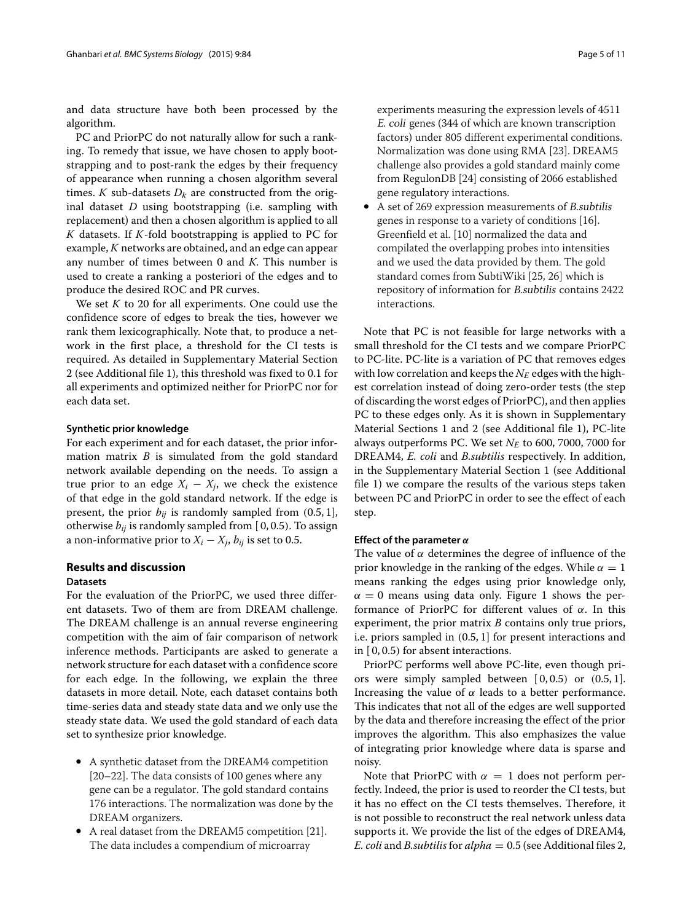and data structure have both been processed by the algorithm.

PC and PriorPC do not naturally allow for such a ranking. To remedy that issue, we have chosen to apply bootstrapping and to post-rank the edges by their frequency of appearance when running a chosen algorithm several times. *K* sub-datasets  $D_k$  are constructed from the original dataset *D* using bootstrapping (i.e. sampling with replacement) and then a chosen algorithm is applied to all *K* datasets. If *K*-fold bootstrapping is applied to PC for example, *K* networks are obtained, and an edge can appear any number of times between 0 and *K*. This number is used to create a ranking a posteriori of the edges and to produce the desired ROC and PR curves.

We set *K* to 20 for all experiments. One could use the confidence score of edges to break the ties, however we rank them lexicographically. Note that, to produce a network in the first place, a threshold for the CI tests is required. As detailed in Supplementary Material Section 2 (see Additional file [1\)](#page-9-5), this threshold was fixed to 0.1 for all experiments and optimized neither for PriorPC nor for each data set.

# <span id="page-4-0"></span>**Synthetic prior knowledge**

For each experiment and for each dataset, the prior information matrix *B* is simulated from the gold standard network available depending on the needs. To assign a true prior to an edge  $X_i - X_j$ , we check the existence of that edge in the gold standard network. If the edge is present, the prior  $b_{ii}$  is randomly sampled from  $(0.5, 1]$ , otherwise  $b_{ij}$  is randomly sampled from  $[0, 0.5)$ . To assign a non-informative prior to  $X_i - X_j$ ,  $b_{ij}$  is set to 0.5.

# **Results and discussion**

# **Datasets**

For the evaluation of the PriorPC, we used three different datasets. Two of them are from DREAM challenge. The DREAM challenge is an annual reverse engineering competition with the aim of fair comparison of network inference methods. Participants are asked to generate a network structure for each dataset with a confidence score for each edge. In the following, we explain the three datasets in more detail. Note, each dataset contains both time-series data and steady state data and we only use the steady state data. We used the gold standard of each data set to synthesize prior knowledge.

- A synthetic dataset from the DREAM4 competition [\[20–](#page-10-12)[22\]](#page-10-13). The data consists of 100 genes where any gene can be a regulator. The gold standard contains 176 interactions. The normalization was done by the DREAM organizers.
- A real dataset from the DREAM5 competition [\[21\]](#page-10-14). The data includes a compendium of microarray

experiments measuring the expression levels of 4511 E. coli genes (344 of which are known transcription factors) under 805 different experimental conditions. Normalization was done using RMA [\[23\]](#page-10-15). DREAM5 challenge also provides a gold standard mainly come from RegulonDB [\[24\]](#page-10-16) consisting of 2066 established gene regulatory interactions.

• A set of 269 expression measurements of B.subtilis genes in response to a variety of conditions [\[16\]](#page-10-8). Greenfield et al. [\[10\]](#page-10-4) normalized the data and compilated the overlapping probes into intensities and we used the data provided by them. The gold standard comes from SubtiWiki [\[25,](#page-10-17) [26\]](#page-10-18) which is repository of information for B.subtilis contains 2422 interactions.

Note that PC is not feasible for large networks with a small threshold for the CI tests and we compare PriorPC to PC-lite. PC-lite is a variation of PC that removes edges with low correlation and keeps the  $N_E$  edges with the highest correlation instead of doing zero-order tests (the step of discarding the worst edges of PriorPC), and then applies PC to these edges only. As it is shown in Supplementary Material Sections 1 and 2 (see Additional file [1\)](#page-9-5), PC-lite always outperforms PC. We set *NE* to 600, 7000, 7000 for DREAM4, *E. coli* and *B.subtilis* respectively. In addition, in the Supplementary Material Section 1 (see Additional file [1\)](#page-9-5) we compare the results of the various steps taken between PC and PriorPC in order to see the effect of each step.

# **Effect of the parameter** *α*

The value of  $\alpha$  determines the degree of influence of the prior knowledge in the ranking of the edges. While  $\alpha = 1$ means ranking the edges using prior knowledge only,  $\alpha = 0$  means using data only. Figure [1](#page-5-0) shows the performance of PriorPC for different values of  $\alpha$ . In this experiment, the prior matrix *B* contains only true priors, i.e. priors sampled in (0.5, 1] for present interactions and in [ 0, 0.5) for absent interactions.

PriorPC performs well above PC-lite, even though priors were simply sampled between  $[0, 0.5)$  or  $(0.5, 1]$ . Increasing the value of  $\alpha$  leads to a better performance. This indicates that not all of the edges are well supported by the data and therefore increasing the effect of the prior improves the algorithm. This also emphasizes the value of integrating prior knowledge where data is sparse and noisy.

Note that PriorPC with  $\alpha = 1$  does not perform perfectly. Indeed, the prior is used to reorder the CI tests, but it has no effect on the CI tests themselves. Therefore, it is not possible to reconstruct the real network unless data supports it. We provide the list of the edges of DREAM4, *E. coli* and *B.subtilis* for *alpha* = 0.5 (see Additional files [2,](#page-9-6)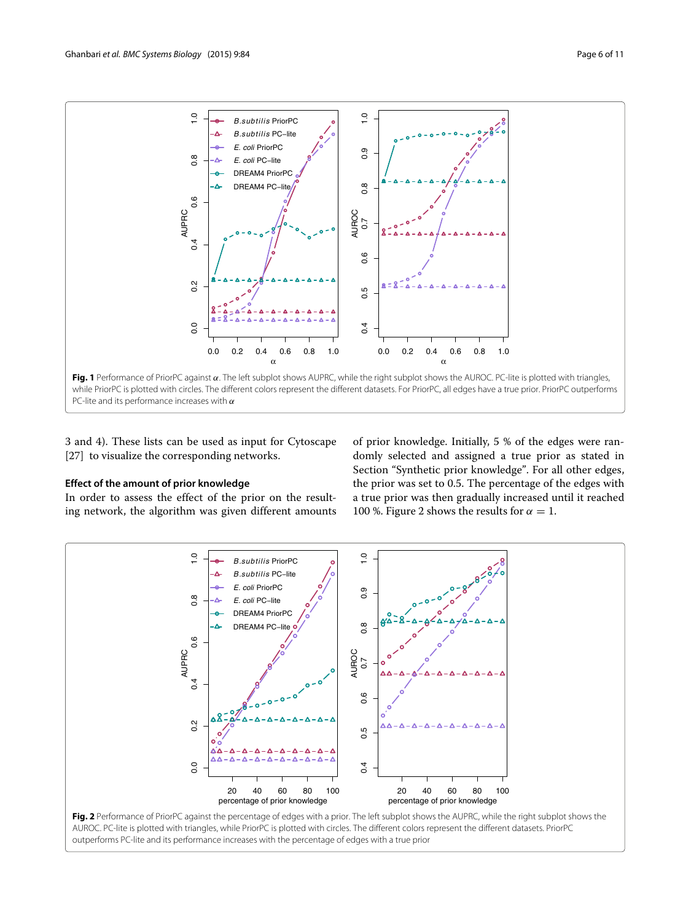

<span id="page-5-0"></span>[3](#page-9-7) and [4\)](#page-9-8). These lists can be used as input for Cytoscape [\[27\]](#page-10-19) to visualize the corresponding networks.

# **Effect of the amount of prior knowledge**

In order to assess the effect of the prior on the resulting network, the algorithm was given different amounts of prior knowledge. Initially, 5 % of the edges were randomly selected and assigned a true prior as stated in Section ["Synthetic prior knowledge"](#page-4-0). For all other edges, the prior was set to 0.5. The percentage of the edges with a true prior was then gradually increased until it reached 100 %. Figure [2](#page-5-1) shows the results for  $\alpha = 1$ .

<span id="page-5-1"></span>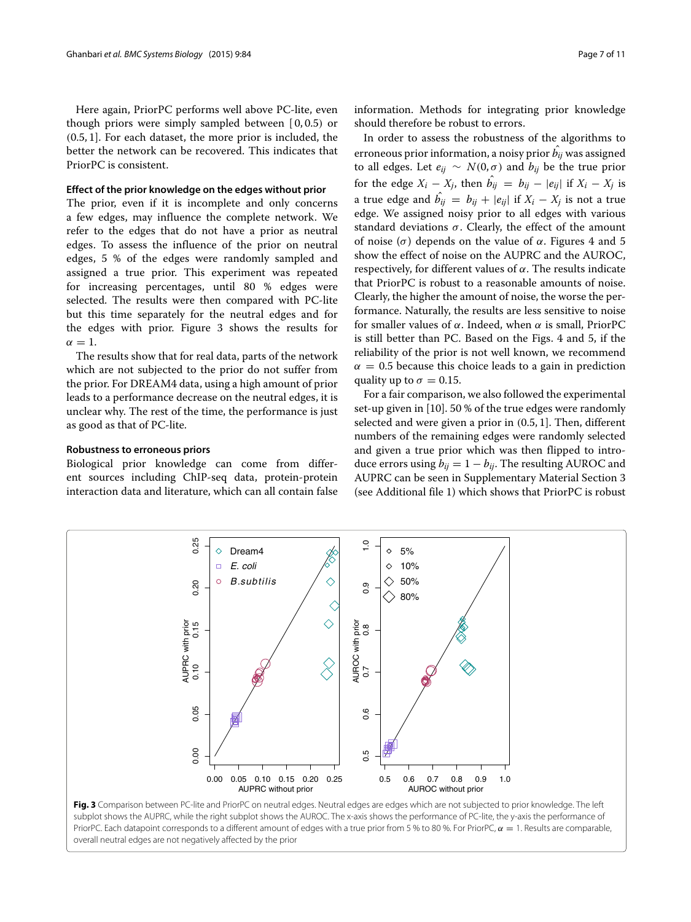Here again, PriorPC performs well above PC-lite, even though priors were simply sampled between  $(0, 0.5)$  or (0.5, 1]. For each dataset, the more prior is included, the better the network can be recovered. This indicates that PriorPC is consistent.

# **Effect of the prior knowledge on the edges without prior**

The prior, even if it is incomplete and only concerns a few edges, may influence the complete network. We refer to the edges that do not have a prior as neutral edges. To assess the influence of the prior on neutral edges, 5 % of the edges were randomly sampled and assigned a true prior. This experiment was repeated for increasing percentages, until 80 % edges were selected. The results were then compared with PC-lite but this time separately for the neutral edges and for the edges with prior. Figure [3](#page-6-0) shows the results for  $\alpha = 1$ .

The results show that for real data, parts of the network which are not subjected to the prior do not suffer from the prior. For DREAM4 data, using a high amount of prior leads to a performance decrease on the neutral edges, it is unclear why. The rest of the time, the performance is just as good as that of PC-lite.

# **Robustness to erroneous priors**

Biological prior knowledge can come from different sources including ChIP-seq data, protein-protein interaction data and literature, which can all contain false information. Methods for integrating prior knowledge should therefore be robust to errors.

In order to assess the robustness of the algorithms to erroneous prior information, a noisy prior  $b_{ij}$  was assigned to all edges. Let  $e_{ij}$  ∼  $N(0, σ)$  and  $b_{ij}$  be the true prior for the edge  $X_i - X_j$ , then  $\hat{b}_{ij} = b_{ij} - |e_{ij}|$  if  $X_i - X_j$  is a true edge and  $b_{ij} = b_{ij} + |e_{ij}|$  if  $X_i - X_j$  is not a true edge. We assigned noisy prior to all edges with various standard deviations  $\sigma$ . Clearly, the effect of the amount of noise ( $\sigma$ ) depends on the value of  $\alpha$ . Figures [4](#page-7-0) and [5](#page-7-1) show the effect of noise on the AUPRC and the AUROC, respectively, for different values of  $\alpha$ . The results indicate that PriorPC is robust to a reasonable amounts of noise. Clearly, the higher the amount of noise, the worse the performance. Naturally, the results are less sensitive to noise for smaller values of  $\alpha$ . Indeed, when  $\alpha$  is small, PriorPC is still better than PC. Based on the Figs. [4](#page-7-0) and [5,](#page-7-1) if the reliability of the prior is not well known, we recommend  $\alpha = 0.5$  because this choice leads to a gain in prediction quality up to  $\sigma = 0.15$ .

For a fair comparison, we also followed the experimental set-up given in [\[10\]](#page-10-4). 50 % of the true edges were randomly selected and were given a prior in (0.5, 1]. Then, different numbers of the remaining edges were randomly selected and given a true prior which was then flipped to introduce errors using  $b_{ij} = 1 - b_{ij}$ . The resulting AUROC and AUPRC can be seen in Supplementary Material Section 3 (see Additional file [1\)](#page-9-5) which shows that PriorPC is robust



<span id="page-6-0"></span>overall neutral edges are not negatively affected by the prior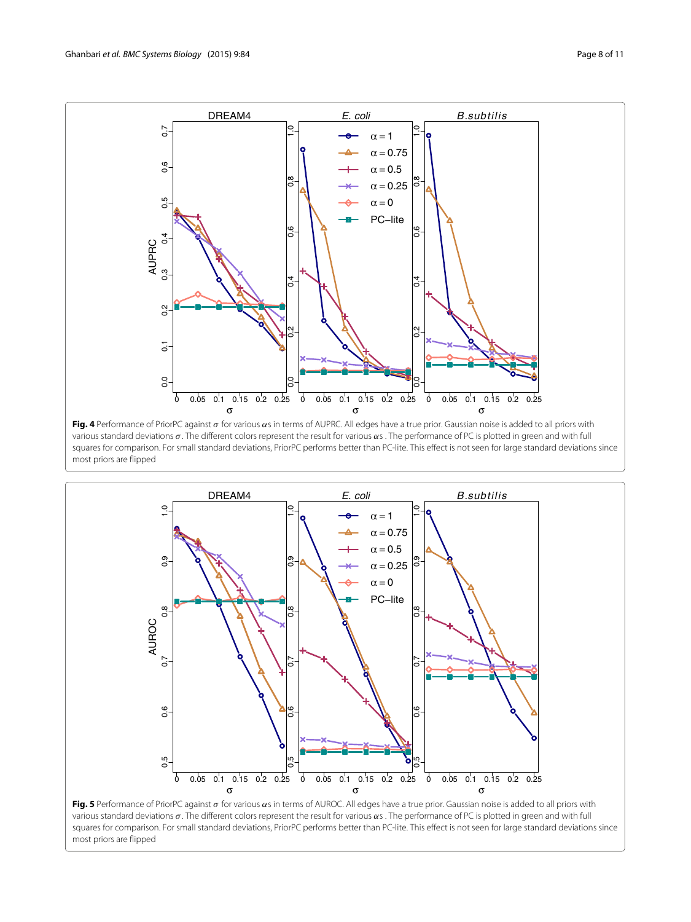

<span id="page-7-0"></span>squares for comparison. For small standard deviations, PriorPC performs better than PC-lite. This effect is not seen for large standard deviations since most priors are flipped



<span id="page-7-1"></span>**Fig. 5** Performance of PriorPC against σ for various αs in terms of AUROC. All edges have a true prior. Gaussian noise is added to all priors with various standard deviations σ. The different colors represent the result for various αs . The performance of PC is plotted in green and with full squares for comparison. For small standard deviations, PriorPC performs better than PC-lite. This effect is not seen for large standard deviations since most priors are flipped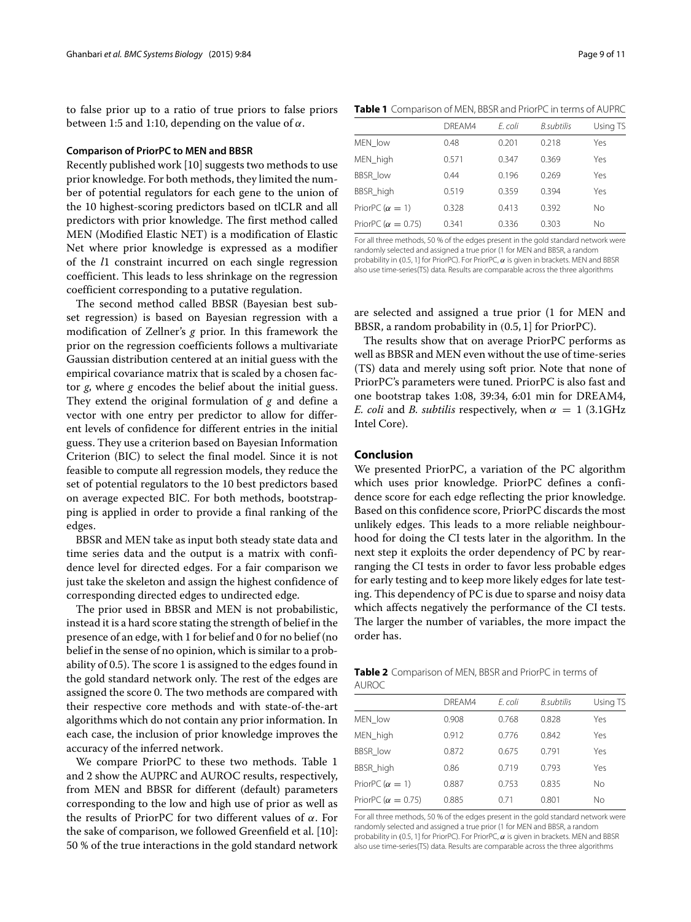to false prior up to a ratio of true priors to false priors between 1:5 and 1:10, depending on the value of  $\alpha$ .

### **Comparison of PriorPC to MEN and BBSR**

Recently published work [\[10\]](#page-10-4) suggests two methods to use prior knowledge. For both methods, they limited the number of potential regulators for each gene to the union of the 10 highest-scoring predictors based on tlCLR and all predictors with prior knowledge. The first method called MEN (Modified Elastic NET) is a modification of Elastic Net where prior knowledge is expressed as a modifier of the *l*1 constraint incurred on each single regression coefficient. This leads to less shrinkage on the regression coefficient corresponding to a putative regulation.

The second method called BBSR (Bayesian best subset regression) is based on Bayesian regression with a modification of Zellner's *g* prior. In this framework the prior on the regression coefficients follows a multivariate Gaussian distribution centered at an initial guess with the empirical covariance matrix that is scaled by a chosen factor *g*, where *g* encodes the belief about the initial guess. They extend the original formulation of *g* and define a vector with one entry per predictor to allow for different levels of confidence for different entries in the initial guess. They use a criterion based on Bayesian Information Criterion (BIC) to select the final model. Since it is not feasible to compute all regression models, they reduce the set of potential regulators to the 10 best predictors based on average expected BIC. For both methods, bootstrapping is applied in order to provide a final ranking of the edges.

BBSR and MEN take as input both steady state data and time series data and the output is a matrix with confidence level for directed edges. For a fair comparison we just take the skeleton and assign the highest confidence of corresponding directed edges to undirected edge.

The prior used in BBSR and MEN is not probabilistic, instead it is a hard score stating the strength of belief in the presence of an edge, with 1 for belief and 0 for no belief (no belief in the sense of no opinion, which is similar to a probability of 0.5). The score 1 is assigned to the edges found in the gold standard network only. The rest of the edges are assigned the score 0. The two methods are compared with their respective core methods and with state-of-the-art algorithms which do not contain any prior information. In each case, the inclusion of prior knowledge improves the accuracy of the inferred network.

We compare PriorPC to these two methods. Table [1](#page-8-0) and [2](#page-8-1) show the AUPRC and AUROC results, respectively, from MEN and BBSR for different (default) parameters corresponding to the low and high use of prior as well as the results of PriorPC for two different values of α. For the sake of comparison, we followed Greenfield et al. [\[10\]](#page-10-4): 50 % of the true interactions in the gold standard network **Table 1** Comparison of MEN, BBSR and PriorPC in terms of AUPRC

<span id="page-8-0"></span>

|                             | DRFAM4 | F. coli | B.subtilis | Using TS |
|-----------------------------|--------|---------|------------|----------|
|                             |        |         |            |          |
| MEN low                     | 0.48   | 0.201   | 0.218      | Yes      |
| MEN_high                    | 0.571  | 0.347   | 0.369      | Yes      |
| <b>BBSR</b> low             | 0.44   | 0.196   | 0.269      | Yes      |
| BBSR_high                   | 0.519  | 0.359   | 0.394      | Yes      |
| PriorPC ( $\alpha = 1$ )    | 0.328  | 0.413   | 0.392      | Νo       |
| PriorPC ( $\alpha = 0.75$ ) | 0.341  | 0.336   | 0.303      | Nο       |

For all three methods, 50 % of the edges present in the gold standard network were randomly selected and assigned a true prior (1 for MEN and BBSR, a random probability in (0.5, 1] for PriorPC). For PriorPC, α is given in brackets. MEN and BBSR also use time-series(TS) data. Results are comparable across the three algorithms

are selected and assigned a true prior (1 for MEN and BBSR, a random probability in (0.5, 1] for PriorPC).

The results show that on average PriorPC performs as well as BBSR and MEN even without the use of time-series (TS) data and merely using soft prior. Note that none of PriorPC's parameters were tuned. PriorPC is also fast and one bootstrap takes 1:08, 39:34, 6:01 min for DREAM4, *E. coli* and *B. subtilis* respectively, when  $\alpha = 1$  (3.1GHz Intel Core).

#### **Conclusion**

We presented PriorPC, a variation of the PC algorithm which uses prior knowledge. PriorPC defines a confidence score for each edge reflecting the prior knowledge. Based on this confidence score, PriorPC discards the most unlikely edges. This leads to a more reliable neighbourhood for doing the CI tests later in the algorithm. In the next step it exploits the order dependency of PC by rearranging the CI tests in order to favor less probable edges for early testing and to keep more likely edges for late testing. This dependency of PC is due to sparse and noisy data which affects negatively the performance of the CI tests. The larger the number of variables, the more impact the order has.

|              | Table 2 Comparison of MEN, BBSR and PriorPC in terms of |  |  |  |
|--------------|---------------------------------------------------------|--|--|--|
| <b>AUROC</b> |                                                         |  |  |  |

<span id="page-8-1"></span>

|                             | DREAM4 | F. coli | <b>B.subtilis</b> | Using TS  |
|-----------------------------|--------|---------|-------------------|-----------|
| MEN low                     | 0.908  | 0.768   | 0.828             | Yes       |
| MEN high                    | 0.912  | 0.776   | 0.842             | Yes       |
| <b>BBSR</b> low             | 0.872  | 0.675   | 0.791             | Yes       |
| <b>BBSR</b> high            | 0.86   | 0.719   | 0.793             | Yes       |
| PriorPC ( $\alpha = 1$ )    | 0.887  | 0.753   | 0.835             | <b>No</b> |
| PriorPC ( $\alpha = 0.75$ ) | 0.885  | 0.71    | 0.801             | No        |
|                             |        |         |                   |           |

For all three methods, 50 % of the edges present in the gold standard network were randomly selected and assigned a true prior (1 for MEN and BBSR, a random probability in (0.5, 1] for PriorPC). For PriorPC, α is given in brackets. MEN and BBSR also use time-series(TS) data. Results are comparable across the three algorithms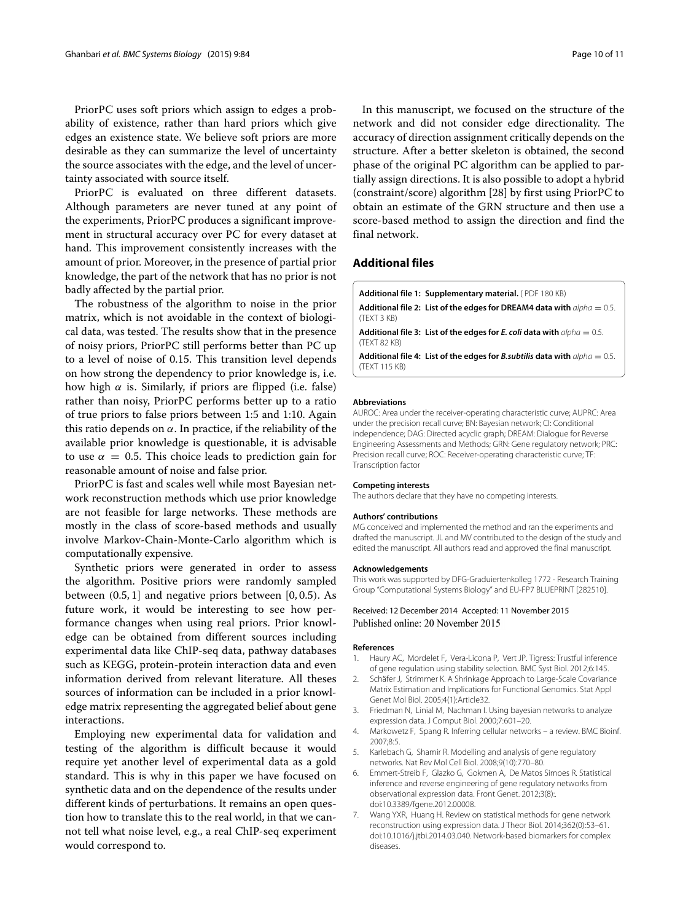PriorPC uses soft priors which assign to edges a probability of existence, rather than hard priors which give edges an existence state. We believe soft priors are more desirable as they can summarize the level of uncertainty the source associates with the edge, and the level of uncertainty associated with source itself.

PriorPC is evaluated on three different datasets. Although parameters are never tuned at any point of the experiments, PriorPC produces a significant improvement in structural accuracy over PC for every dataset at hand. This improvement consistently increases with the amount of prior. Moreover, in the presence of partial prior knowledge, the part of the network that has no prior is not badly affected by the partial prior.

The robustness of the algorithm to noise in the prior matrix, which is not avoidable in the context of biological data, was tested. The results show that in the presence of noisy priors, PriorPC still performs better than PC up to a level of noise of 0.15. This transition level depends on how strong the dependency to prior knowledge is, i.e. how high  $\alpha$  is. Similarly, if priors are flipped (i.e. false) rather than noisy, PriorPC performs better up to a ratio of true priors to false priors between 1:5 and 1:10. Again this ratio depends on  $\alpha$ . In practice, if the reliability of the available prior knowledge is questionable, it is advisable to use  $\alpha = 0.5$ . This choice leads to prediction gain for reasonable amount of noise and false prior.

PriorPC is fast and scales well while most Bayesian network reconstruction methods which use prior knowledge are not feasible for large networks. These methods are mostly in the class of score-based methods and usually involve Markov-Chain-Monte-Carlo algorithm which is computationally expensive.

Synthetic priors were generated in order to assess the algorithm. Positive priors were randomly sampled between  $(0.5, 1]$  and negative priors between  $[0, 0.5)$ . As future work, it would be interesting to see how performance changes when using real priors. Prior knowledge can be obtained from different sources including experimental data like ChIP-seq data, pathway databases such as KEGG, protein-protein interaction data and even information derived from relevant literature. All theses sources of information can be included in a prior knowledge matrix representing the aggregated belief about gene interactions.

Employing new experimental data for validation and testing of the algorithm is difficult because it would require yet another level of experimental data as a gold standard. This is why in this paper we have focused on synthetic data and on the dependence of the results under different kinds of perturbations. It remains an open question how to translate this to the real world, in that we cannot tell what noise level, e.g., a real ChIP-seq experiment would correspond to.

In this manuscript, we focused on the structure of the network and did not consider edge directionality. The accuracy of direction assignment critically depends on the structure. After a better skeleton is obtained, the second phase of the original PC algorithm can be applied to partially assign directions. It is also possible to adopt a hybrid (constraint/score) algorithm [\[28\]](#page-10-20) by first using PriorPC to obtain an estimate of the GRN structure and then use a score-based method to assign the direction and find the final network.

# **Additional files**

<span id="page-9-6"></span><span id="page-9-5"></span>**[Additional file 1:](http://dx.doi.org/10.1186/s12918-015-0233-4) Supplementary material.** ( PDF 180 KB) **[Additional file 2:](http://dx.doi.org/10.1186/s12918-015-0233-4) List of the edges for DREAM4 data with** alpha = 0.5. (TEXT 3 KB)

<span id="page-9-7"></span>**[Additional file 3:](http://dx.doi.org/10.1186/s12918-015-0233-4) List of the edges for** *E. coli* **data with** alpha = 0.5. (TEXT 82 KB)

<span id="page-9-8"></span>**[Additional file 4:](http://dx.doi.org/10.1186/s12918-015-0233-4) List of the edges for** *B.subtilis* **data with** alpha = 0.5. (TEXT 115 KB)

#### **Abbreviations**

AUROC: Area under the receiver-operating characteristic curve; AUPRC: Area under the precision recall curve; BN: Bayesian network; CI: Conditional independence; DAG: Directed acyclic graph; DREAM: Dialogue for Reverse Engineering Assessments and Methods; GRN: Gene regulatory network; PRC: Precision recall curve; ROC: Receiver-operating characteristic curve; TF: Transcription factor

#### **Competing interests**

The authors declare that they have no competing interests.

#### **Authors' contributions**

MG conceived and implemented the method and ran the experiments and drafted the manuscript. JL and MV contributed to the design of the study and edited the manuscript. All authors read and approved the final manuscript.

#### **Acknowledgements**

This work was supported by DFG-Graduiertenkolleg 1772 - Research Training Group "Computational Systems Biology" and EU-FP7 BLUEPRINT [282510].

## Received: 12 December 2014 Accepted: 11 November 2015 Published online: 20 November 2015

#### **References**

- <span id="page-9-0"></span>1. Haury AC, Mordelet F, Vera-Licona P, Vert JP. Tigress: Trustful inference of gene regulation using stability selection. BMC Syst Biol. 2012;6:145.
- <span id="page-9-1"></span>2. Schäfer J, Strimmer K. A Shrinkage Approach to Large-Scale Covariance Matrix Estimation and Implications for Functional Genomics. Stat Appl Genet Mol Biol. 2005;4(1):Article32.
- <span id="page-9-2"></span>3. Friedman N, Linial M, Nachman I. Using bayesian networks to analyze expression data. J Comput Biol. 2000;7:601–20.
- <span id="page-9-3"></span>4. Markowetz F, Spang R. Inferring cellular networks – a review. BMC Bioinf. 2007;8:5.
- 5. Karlebach G, Shamir R. Modelling and analysis of gene regulatory networks. Nat Rev Mol Cell Biol. 2008;9(10):770–80.
- 6. Emmert-Streib F, Glazko G, Gokmen A, De Matos Simoes R. Statistical inference and reverse engineering of gene regulatory networks from observational expression data. Front Genet. 2012;3(8):. doi[:10.3389/fgene.2012.00008.](http://dx.doi.org/10.3389/fgene.2012.00008)
- <span id="page-9-4"></span>7. Wang YXR, Huang H. Review on statistical methods for gene network reconstruction using expression data. J Theor Biol. 2014;362(0):53–61. doi[:10.1016/j.jtbi.2014.03.040.](http://dx.doi.org/10.1016/j.jtbi.2014.03.040) Network-based biomarkers for complex diseases.